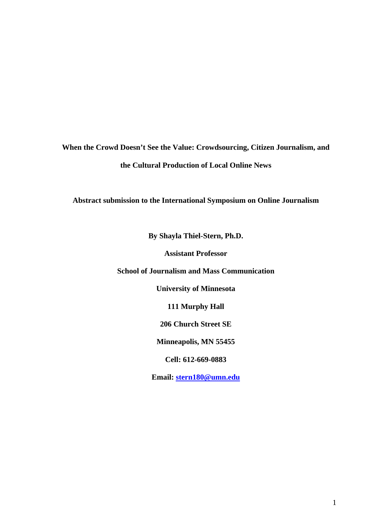**When the Crowd Doesn't See the Value: Crowdsourcing, Citizen Journalism, and the Cultural Production of Local Online News** 

**Abstract submission to the International Symposium on Online Journalism** 

**By Shayla Thiel-Stern, Ph.D.** 

**Assistant Professor** 

**School of Journalism and Mass Communication** 

**University of Minnesota** 

**111 Murphy Hall** 

**206 Church Street SE** 

**Minneapolis, MN 55455** 

**Cell: 612-669-0883** 

**Email: stern180@umn.edu**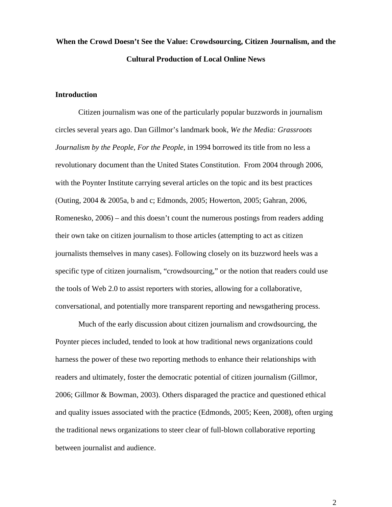# **When the Crowd Doesn't See the Value: Crowdsourcing, Citizen Journalism, and the Cultural Production of Local Online News**

## **Introduction**

Citizen journalism was one of the particularly popular buzzwords in journalism circles several years ago. Dan Gillmor's landmark book, *We the Media: Grassroots Journalism by the People, For the People*, in 1994 borrowed its title from no less a revolutionary document than the United States Constitution. From 2004 through 2006, with the Poynter Institute carrying several articles on the topic and its best practices (Outing, 2004 & 2005a, b and c; Edmonds, 2005; Howerton, 2005; Gahran, 2006, Romenesko, 2006) – and this doesn't count the numerous postings from readers adding their own take on citizen journalism to those articles (attempting to act as citizen journalists themselves in many cases). Following closely on its buzzword heels was a specific type of citizen journalism, "crowdsourcing," or the notion that readers could use the tools of Web 2.0 to assist reporters with stories, allowing for a collaborative, conversational, and potentially more transparent reporting and newsgathering process.

Much of the early discussion about citizen journalism and crowdsourcing, the Poynter pieces included, tended to look at how traditional news organizations could harness the power of these two reporting methods to enhance their relationships with readers and ultimately, foster the democratic potential of citizen journalism (Gillmor, 2006; Gillmor & Bowman, 2003). Others disparaged the practice and questioned ethical and quality issues associated with the practice (Edmonds, 2005; Keen, 2008), often urging the traditional news organizations to steer clear of full-blown collaborative reporting between journalist and audience.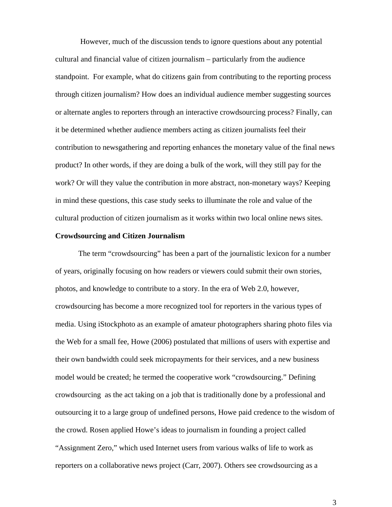However, much of the discussion tends to ignore questions about any potential cultural and financial value of citizen journalism – particularly from the audience standpoint. For example, what do citizens gain from contributing to the reporting process through citizen journalism? How does an individual audience member suggesting sources or alternate angles to reporters through an interactive crowdsourcing process? Finally, can it be determined whether audience members acting as citizen journalists feel their contribution to newsgathering and reporting enhances the monetary value of the final news product? In other words, if they are doing a bulk of the work, will they still pay for the work? Or will they value the contribution in more abstract, non-monetary ways? Keeping in mind these questions, this case study seeks to illuminate the role and value of the cultural production of citizen journalism as it works within two local online news sites.

## **Crowdsourcing and Citizen Journalism**

The term "crowdsourcing" has been a part of the journalistic lexicon for a number of years, originally focusing on how readers or viewers could submit their own stories, photos, and knowledge to contribute to a story. In the era of Web 2.0, however, crowdsourcing has become a more recognized tool for reporters in the various types of media. Using iStockphoto as an example of amateur photographers sharing photo files via the Web for a small fee, Howe (2006) postulated that millions of users with expertise and their own bandwidth could seek micropayments for their services, and a new business model would be created; he termed the cooperative work "crowdsourcing." Defining crowdsourcing as the act taking on a job that is traditionally done by a professional and outsourcing it to a large group of undefined persons, Howe paid credence to the wisdom of the crowd. Rosen applied Howe's ideas to journalism in founding a project called "Assignment Zero," which used Internet users from various walks of life to work as reporters on a collaborative news project (Carr, 2007). Others see crowdsourcing as a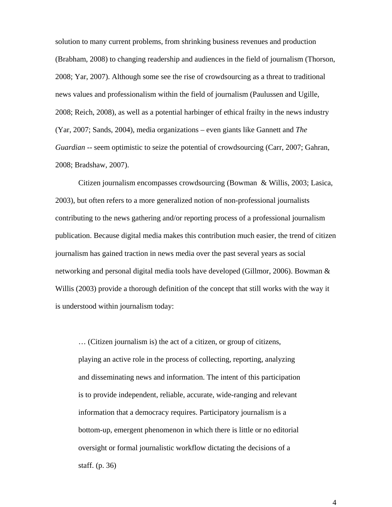solution to many current problems, from shrinking business revenues and production (Brabham, 2008) to changing readership and audiences in the field of journalism (Thorson, 2008; Yar, 2007). Although some see the rise of crowdsourcing as a threat to traditional news values and professionalism within the field of journalism (Paulussen and Ugille, 2008; Reich, 2008), as well as a potential harbinger of ethical frailty in the news industry (Yar, 2007; Sands, 2004), media organizations – even giants like Gannett and *The Guardian* -- seem optimistic to seize the potential of crowdsourcing (Carr, 2007; Gahran, 2008; Bradshaw, 2007).

Citizen journalism encompasses crowdsourcing (Bowman & Willis, 2003; Lasica, 2003), but often refers to a more generalized notion of non-professional journalists contributing to the news gathering and/or reporting process of a professional journalism publication. Because digital media makes this contribution much easier, the trend of citizen journalism has gained traction in news media over the past several years as social networking and personal digital media tools have developed (Gillmor, 2006). Bowman & Willis (2003) provide a thorough definition of the concept that still works with the way it is understood within journalism today:

… (Citizen journalism is) the act of a citizen, or group of citizens, playing an active role in the process of collecting, reporting, analyzing and disseminating news and information. The intent of this participation is to provide independent, reliable, accurate, wide-ranging and relevant information that a democracy requires. Participatory journalism is a bottom-up, emergent phenomenon in which there is little or no editorial oversight or formal journalistic workflow dictating the decisions of a staff. (p. 36)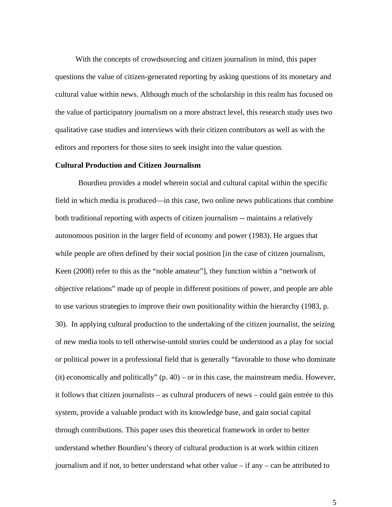With the concepts of crowdsourcing and citizen journalism in mind, this paper questions the value of citizen-generated reporting by asking questions of its monetary and cultural value within news. Although much of the scholarship in this realm has focused on the value of participatory journalism on a more abstract level, this research study uses two qualitative case studies and interviews with their citizen contributors as well as with the editors and reporters for those sites to seek insight into the value question.

## **Cultural Production and Citizen Journalism**

Bourdieu provides a model wherein social and cultural capital within the specific field in which media is produced—in this case, two online news publications that combine both traditional reporting with aspects of citizen journalism -- maintains a relatively autonomous position in the larger field of economy and power (1983). He argues that while people are often defined by their social position [in the case of citizen journalism, Keen (2008) refer to this as the "noble amateur"], they function within a "network of objective relations" made up of people in different positions of power, and people are able to use various strategies to improve their own positionality within the hierarchy (1983, p. 30). In applying cultural production to the undertaking of the citizen journalist, the seizing of new media tools to tell otherwise-untold stories could be understood as a play for social or political power in a professional field that is generally "favorable to those who dominate (it) economically and politically" (p. 40) – or in this case, the mainstream media. However, it follows that citizen journalists – as cultural producers of news – could gain entrée to this system, provide a valuable product with its knowledge base, and gain social capital through contributions. This paper uses this theoretical framework in order to better understand whether Bourdieu's theory of cultural production is at work within citizen journalism and if not, to better understand what other value – if any – can be attributed to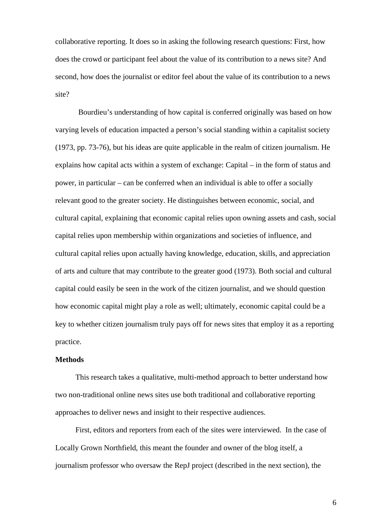collaborative reporting. It does so in asking the following research questions: First, how does the crowd or participant feel about the value of its contribution to a news site? And second, how does the journalist or editor feel about the value of its contribution to a news site?

 Bourdieu's understanding of how capital is conferred originally was based on how varying levels of education impacted a person's social standing within a capitalist society (1973, pp. 73-76), but his ideas are quite applicable in the realm of citizen journalism. He explains how capital acts within a system of exchange: Capital – in the form of status and power, in particular – can be conferred when an individual is able to offer a socially relevant good to the greater society. He distinguishes between economic, social, and cultural capital, explaining that economic capital relies upon owning assets and cash, social capital relies upon membership within organizations and societies of influence, and cultural capital relies upon actually having knowledge, education, skills, and appreciation of arts and culture that may contribute to the greater good (1973). Both social and cultural capital could easily be seen in the work of the citizen journalist, and we should question how economic capital might play a role as well; ultimately, economic capital could be a key to whether citizen journalism truly pays off for news sites that employ it as a reporting practice.

## **Methods**

This research takes a qualitative, multi-method approach to better understand how two non-traditional online news sites use both traditional and collaborative reporting approaches to deliver news and insight to their respective audiences.

First, editors and reporters from each of the sites were interviewed. In the case of Locally Grown Northfield, this meant the founder and owner of the blog itself, a journalism professor who oversaw the RepJ project (described in the next section), the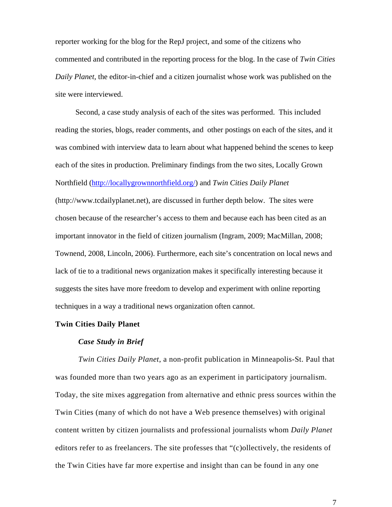reporter working for the blog for the RepJ project, and some of the citizens who commented and contributed in the reporting process for the blog. In the case of *Twin Cities Daily Planet,* the editor-in-chief and a citizen journalist whose work was published on the site were interviewed.

Second, a case study analysis of each of the sites was performed. This included reading the stories, blogs, reader comments, and other postings on each of the sites, and it was combined with interview data to learn about what happened behind the scenes to keep each of the sites in production. Preliminary findings from the two sites, Locally Grown Northfield (http://locallygrownnorthfield.org/) and *Twin Cities Daily Planet*  (http://www.tcdailyplanet.net), are discussed in further depth below. The sites were chosen because of the researcher's access to them and because each has been cited as an important innovator in the field of citizen journalism (Ingram, 2009; MacMillan, 2008; Townend, 2008, Lincoln, 2006). Furthermore, each site's concentration on local news and lack of tie to a traditional news organization makes it specifically interesting because it suggests the sites have more freedom to develop and experiment with online reporting techniques in a way a traditional news organization often cannot.

## **Twin Cities Daily Planet**

#### *Case Study in Brief*

*Twin Cities Daily Planet*, a non-profit publication in Minneapolis-St. Paul that was founded more than two years ago as an experiment in participatory journalism. Today, the site mixes aggregation from alternative and ethnic press sources within the Twin Cities (many of which do not have a Web presence themselves) with original content written by citizen journalists and professional journalists whom *Daily Planet* editors refer to as freelancers. The site professes that "(c)ollectively, the residents of the Twin Cities have far more expertise and insight than can be found in any one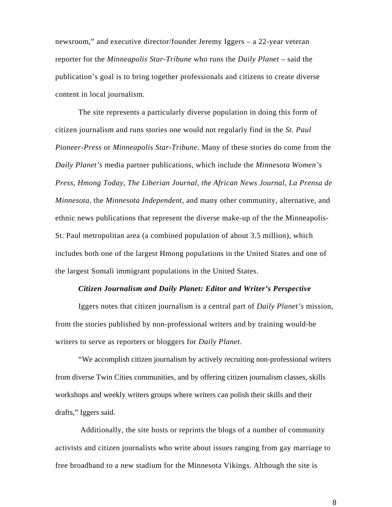newsroom," and executive director/founder Jeremy Iggers – a 22-year veteran reporter for the *Minneapolis Star-Tribune* who runs the *Daily Planet* – said the publication's goal is to bring together professionals and citizens to create diverse content in local journalism.

The site represents a particularly diverse population in doing this form of citizen journalism and runs stories one would not regularly find in the *St. Paul Pioneer-Press* or *Minneapolis Star-Tribune*. Many of these stories do come from the *Daily Planet's* media partner publications, which include the *Minnesota Women's Press, Hmong Today, The Liberian Journal, the African News Journal, La Prensa de Minnesota,* the *Minnesota Independent*, and many other community, alternative, and ethnic news publications that represent the diverse make-up of the the Minneapolis-St. Paul metropolitan area (a combined population of about 3.5 million), which includes both one of the largest Hmong populations in the United States and one of the largest Somali immigrant populations in the United States.

## *Citizen Journalism and Daily Planet: Editor and Writer's Perspective*

Iggers notes that citizen journalism is a central part of *Daily Planet's* mission, from the stories published by non-professional writers and by training would-be writers to serve as reporters or bloggers for *Daily Planet*.

"We accomplish citizen journalism by actively recruiting non-professional writers from diverse Twin Cities communities, and by offering citizen journalism classes, skills workshops and weekly writers groups where writers can polish their skills and their drafts," Iggers said.

 Additionally, the site hosts or reprints the blogs of a number of community activists and citizen journalists who write about issues ranging from gay marriage to free broadband to a new stadium for the Minnesota Vikings. Although the site is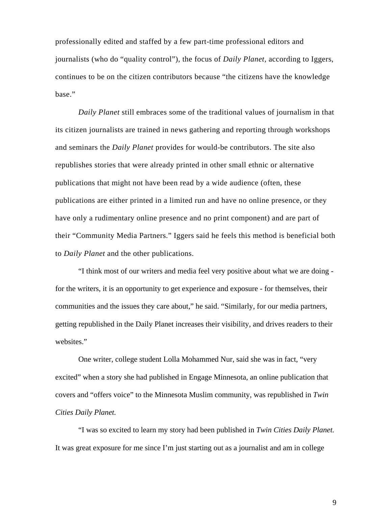professionally edited and staffed by a few part-time professional editors and journalists (who do "quality control"), the focus of *Daily Planet,* according to Iggers, continues to be on the citizen contributors because "the citizens have the knowledge base."

*Daily Planet* still embraces some of the traditional values of journalism in that its citizen journalists are trained in news gathering and reporting through workshops and seminars the *Daily Planet* provides for would-be contributors. The site also republishes stories that were already printed in other small ethnic or alternative publications that might not have been read by a wide audience (often, these publications are either printed in a limited run and have no online presence, or they have only a rudimentary online presence and no print component) and are part of their "Community Media Partners." Iggers said he feels this method is beneficial both to *Daily Planet* and the other publications.

"I think most of our writers and media feel very positive about what we are doing for the writers, it is an opportunity to get experience and exposure - for themselves, their communities and the issues they care about," he said. "Similarly, for our media partners, getting republished in the Daily Planet increases their visibility, and drives readers to their websites."

One writer, college student Lolla Mohammed Nur, said she was in fact, "very excited" when a story she had published in Engage Minnesota, an online publication that covers and "offers voice" to the Minnesota Muslim community, was republished in *Twin Cities Daily Planet.*

"I was so excited to learn my story had been published in *Twin Cities Daily Planet.* It was great exposure for me since I'm just starting out as a journalist and am in college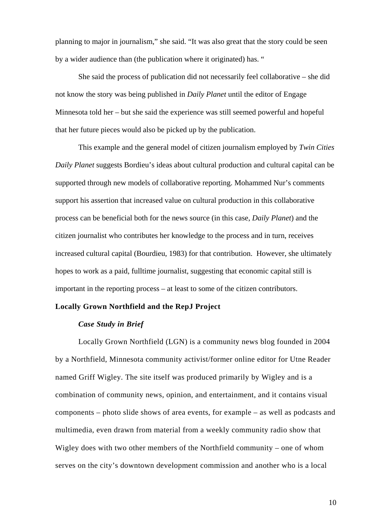planning to major in journalism," she said. "It was also great that the story could be seen by a wider audience than (the publication where it originated) has. "

She said the process of publication did not necessarily feel collaborative – she did not know the story was being published in *Daily Planet* until the editor of Engage Minnesota told her – but she said the experience was still seemed powerful and hopeful that her future pieces would also be picked up by the publication.

This example and the general model of citizen journalism employed by *Twin Cities Daily Planet* suggests Bordieu's ideas about cultural production and cultural capital can be supported through new models of collaborative reporting. Mohammed Nur's comments support his assertion that increased value on cultural production in this collaborative process can be beneficial both for the news source (in this case, *Daily Planet*) and the citizen journalist who contributes her knowledge to the process and in turn, receives increased cultural capital (Bourdieu, 1983) for that contribution. However, she ultimately hopes to work as a paid, fulltime journalist, suggesting that economic capital still is important in the reporting process – at least to some of the citizen contributors.

# **Locally Grown Northfield and the RepJ Project**

## *Case Study in Brief*

Locally Grown Northfield (LGN) is a community news blog founded in 2004 by a Northfield, Minnesota community activist/former online editor for Utne Reader named Griff Wigley. The site itself was produced primarily by Wigley and is a combination of community news, opinion, and entertainment, and it contains visual components – photo slide shows of area events, for example – as well as podcasts and multimedia, even drawn from material from a weekly community radio show that Wigley does with two other members of the Northfield community – one of whom serves on the city's downtown development commission and another who is a local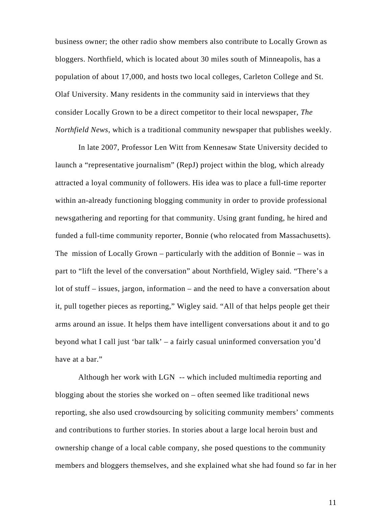business owner; the other radio show members also contribute to Locally Grown as bloggers. Northfield, which is located about 30 miles south of Minneapolis, has a population of about 17,000, and hosts two local colleges, Carleton College and St. Olaf University. Many residents in the community said in interviews that they consider Locally Grown to be a direct competitor to their local newspaper, *The Northfield News*, which is a traditional community newspaper that publishes weekly.

In late 2007, Professor Len Witt from Kennesaw State University decided to launch a "representative journalism" (RepJ) project within the blog, which already attracted a loyal community of followers. His idea was to place a full-time reporter within an-already functioning blogging community in order to provide professional newsgathering and reporting for that community. Using grant funding, he hired and funded a full-time community reporter, Bonnie (who relocated from Massachusetts). The mission of Locally Grown – particularly with the addition of Bonnie – was in part to "lift the level of the conversation" about Northfield, Wigley said. "There's a lot of stuff – issues, jargon, information – and the need to have a conversation about it, pull together pieces as reporting," Wigley said. "All of that helps people get their arms around an issue. It helps them have intelligent conversations about it and to go beyond what I call just 'bar talk' – a fairly casual uninformed conversation you'd have at a bar."

Although her work with LGN -- which included multimedia reporting and blogging about the stories she worked on – often seemed like traditional news reporting, she also used crowdsourcing by soliciting community members' comments and contributions to further stories. In stories about a large local heroin bust and ownership change of a local cable company, she posed questions to the community members and bloggers themselves, and she explained what she had found so far in her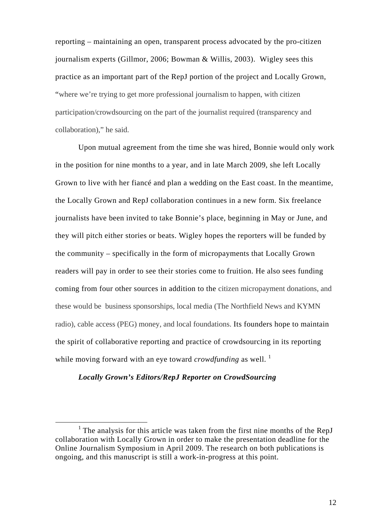reporting – maintaining an open, transparent process advocated by the pro-citizen journalism experts (Gillmor, 2006; Bowman & Willis, 2003). Wigley sees this practice as an important part of the RepJ portion of the project and Locally Grown, "where we're trying to get more professional journalism to happen, with citizen participation/crowdsourcing on the part of the journalist required (transparency and collaboration)," he said.

Upon mutual agreement from the time she was hired, Bonnie would only work in the position for nine months to a year, and in late March 2009, she left Locally Grown to live with her fiancé and plan a wedding on the East coast. In the meantime, the Locally Grown and RepJ collaboration continues in a new form. Six freelance journalists have been invited to take Bonnie's place, beginning in May or June, and they will pitch either stories or beats. Wigley hopes the reporters will be funded by the community – specifically in the form of micropayments that Locally Grown readers will pay in order to see their stories come to fruition. He also sees funding coming from four other sources in addition to the citizen micropayment donations, and these would be business sponsorships, local media (The Northfield News and KYMN radio), cable access (PEG) money, and local foundations. Its founders hope to maintain the spirit of collaborative reporting and practice of crowdsourcing in its reporting while moving forward with an eye toward *crowdfunding* as well.<sup>1</sup>

## *Locally Grown's Editors/RepJ Reporter on CrowdSourcing*

<sup>&</sup>lt;u>1</u> <sup>1</sup> The analysis for this article was taken from the first nine months of the RepJ collaboration with Locally Grown in order to make the presentation deadline for the Online Journalism Symposium in April 2009. The research on both publications is ongoing, and this manuscript is still a work-in-progress at this point.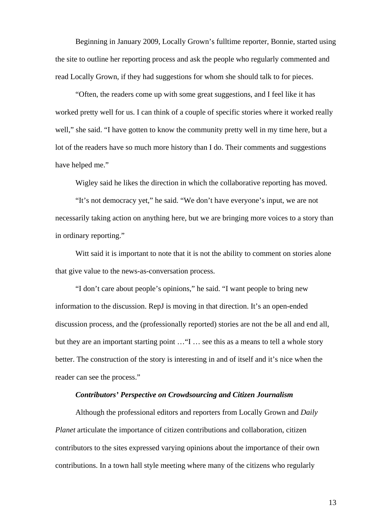Beginning in January 2009, Locally Grown's fulltime reporter, Bonnie, started using the site to outline her reporting process and ask the people who regularly commented and read Locally Grown, if they had suggestions for whom she should talk to for pieces.

"Often, the readers come up with some great suggestions, and I feel like it has worked pretty well for us. I can think of a couple of specific stories where it worked really well," she said. "I have gotten to know the community pretty well in my time here, but a lot of the readers have so much more history than I do. Their comments and suggestions have helped me."

Wigley said he likes the direction in which the collaborative reporting has moved.

"It's not democracy yet," he said. "We don't have everyone's input, we are not necessarily taking action on anything here, but we are bringing more voices to a story than in ordinary reporting."

Witt said it is important to note that it is not the ability to comment on stories alone that give value to the news-as-conversation process.

"I don't care about people's opinions," he said. "I want people to bring new information to the discussion. RepJ is moving in that direction. It's an open-ended discussion process, and the (professionally reported) stories are not the be all and end all, but they are an important starting point …"I … see this as a means to tell a whole story better. The construction of the story is interesting in and of itself and it's nice when the reader can see the process."

# *Contributors' Perspective on Crowdsourcing and Citizen Journalism*

Although the professional editors and reporters from Locally Grown and *Daily Planet* articulate the importance of citizen contributions and collaboration, citizen contributors to the sites expressed varying opinions about the importance of their own contributions. In a town hall style meeting where many of the citizens who regularly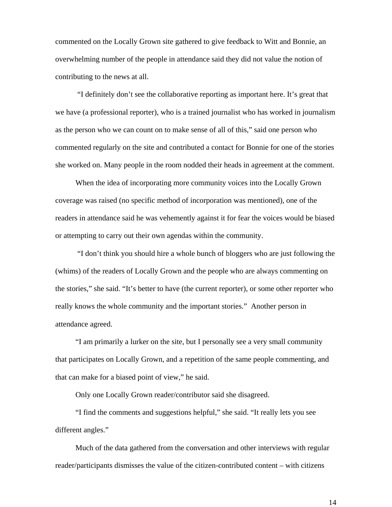commented on the Locally Grown site gathered to give feedback to Witt and Bonnie, an overwhelming number of the people in attendance said they did not value the notion of contributing to the news at all.

 "I definitely don't see the collaborative reporting as important here. It's great that we have (a professional reporter), who is a trained journalist who has worked in journalism as the person who we can count on to make sense of all of this," said one person who commented regularly on the site and contributed a contact for Bonnie for one of the stories she worked on. Many people in the room nodded their heads in agreement at the comment.

When the idea of incorporating more community voices into the Locally Grown coverage was raised (no specific method of incorporation was mentioned), one of the readers in attendance said he was vehemently against it for fear the voices would be biased or attempting to carry out their own agendas within the community.

 "I don't think you should hire a whole bunch of bloggers who are just following the (whims) of the readers of Locally Grown and the people who are always commenting on the stories," she said. "It's better to have (the current reporter), or some other reporter who really knows the whole community and the important stories." Another person in attendance agreed.

"I am primarily a lurker on the site, but I personally see a very small community that participates on Locally Grown, and a repetition of the same people commenting, and that can make for a biased point of view," he said.

Only one Locally Grown reader/contributor said she disagreed.

"I find the comments and suggestions helpful," she said. "It really lets you see different angles."

Much of the data gathered from the conversation and other interviews with regular reader/participants dismisses the value of the citizen-contributed content – with citizens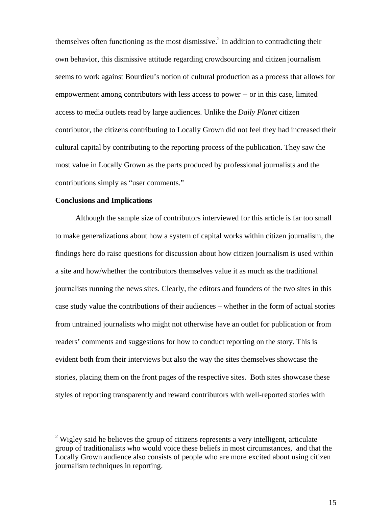themselves often functioning as the most dismissive.<sup>2</sup> In addition to contradicting their own behavior, this dismissive attitude regarding crowdsourcing and citizen journalism seems to work against Bourdieu's notion of cultural production as a process that allows for empowerment among contributors with less access to power -- or in this case, limited access to media outlets read by large audiences. Unlike the *Daily Planet* citizen contributor, the citizens contributing to Locally Grown did not feel they had increased their cultural capital by contributing to the reporting process of the publication. They saw the most value in Locally Grown as the parts produced by professional journalists and the contributions simply as "user comments."

## **Conclusions and Implications**

 $\overline{a}$ 

Although the sample size of contributors interviewed for this article is far too small to make generalizations about how a system of capital works within citizen journalism, the findings here do raise questions for discussion about how citizen journalism is used within a site and how/whether the contributors themselves value it as much as the traditional journalists running the news sites. Clearly, the editors and founders of the two sites in this case study value the contributions of their audiences – whether in the form of actual stories from untrained journalists who might not otherwise have an outlet for publication or from readers' comments and suggestions for how to conduct reporting on the story. This is evident both from their interviews but also the way the sites themselves showcase the stories, placing them on the front pages of the respective sites. Both sites showcase these styles of reporting transparently and reward contributors with well-reported stories with

 $2$  Wigley said he believes the group of citizens represents a very intelligent, articulate group of traditionalists who would voice these beliefs in most circumstances, and that the Locally Grown audience also consists of people who are more excited about using citizen journalism techniques in reporting.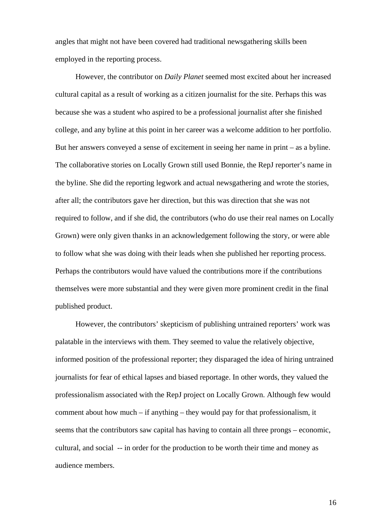angles that might not have been covered had traditional newsgathering skills been employed in the reporting process.

However, the contributor on *Daily Planet* seemed most excited about her increased cultural capital as a result of working as a citizen journalist for the site. Perhaps this was because she was a student who aspired to be a professional journalist after she finished college, and any byline at this point in her career was a welcome addition to her portfolio. But her answers conveyed a sense of excitement in seeing her name in print – as a byline. The collaborative stories on Locally Grown still used Bonnie, the RepJ reporter's name in the byline. She did the reporting legwork and actual newsgathering and wrote the stories, after all; the contributors gave her direction, but this was direction that she was not required to follow, and if she did, the contributors (who do use their real names on Locally Grown) were only given thanks in an acknowledgement following the story, or were able to follow what she was doing with their leads when she published her reporting process. Perhaps the contributors would have valued the contributions more if the contributions themselves were more substantial and they were given more prominent credit in the final published product.

However, the contributors' skepticism of publishing untrained reporters' work was palatable in the interviews with them. They seemed to value the relatively objective, informed position of the professional reporter; they disparaged the idea of hiring untrained journalists for fear of ethical lapses and biased reportage. In other words, they valued the professionalism associated with the RepJ project on Locally Grown. Although few would comment about how much – if anything – they would pay for that professionalism, it seems that the contributors saw capital has having to contain all three prongs – economic, cultural, and social -- in order for the production to be worth their time and money as audience members.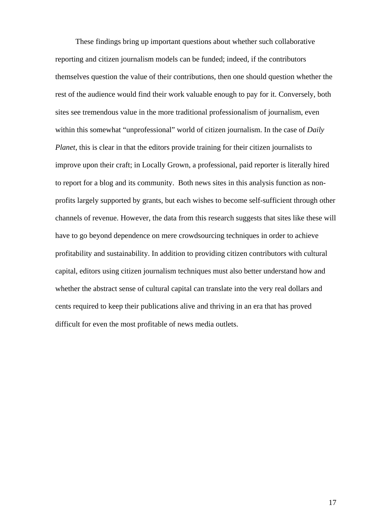These findings bring up important questions about whether such collaborative reporting and citizen journalism models can be funded; indeed, if the contributors themselves question the value of their contributions, then one should question whether the rest of the audience would find their work valuable enough to pay for it. Conversely, both sites see tremendous value in the more traditional professionalism of journalism, even within this somewhat "unprofessional" world of citizen journalism. In the case of *Daily Planet*, this is clear in that the editors provide training for their citizen journalists to improve upon their craft; in Locally Grown, a professional, paid reporter is literally hired to report for a blog and its community. Both news sites in this analysis function as nonprofits largely supported by grants, but each wishes to become self-sufficient through other channels of revenue. However, the data from this research suggests that sites like these will have to go beyond dependence on mere crowdsourcing techniques in order to achieve profitability and sustainability. In addition to providing citizen contributors with cultural capital, editors using citizen journalism techniques must also better understand how and whether the abstract sense of cultural capital can translate into the very real dollars and cents required to keep their publications alive and thriving in an era that has proved difficult for even the most profitable of news media outlets.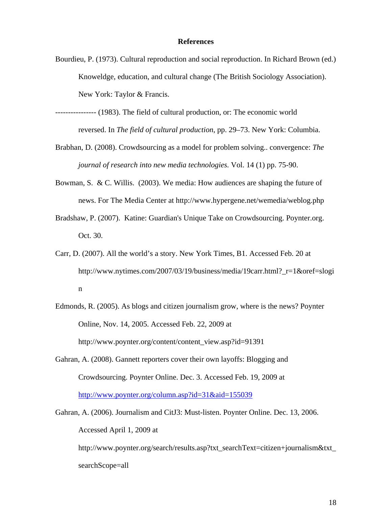## **References**

- Bourdieu, P. (1973). Cultural reproduction and social reproduction. In Richard Brown (ed.) Knoweldge, education, and cultural change (The British Sociology Association). New York: Taylor & Francis.
- ---------------- (1983). The field of cultural production, or: The economic world reversed. In *The field of cultural production*, pp. 29–73. New York: Columbia.
- Brabhan, D. (2008). Crowdsourcing as a model for problem solving.. convergence: *The journal of research into new media technologies.* Vol. 14 (1) pp. 75-90.
- Bowman, S. & C. Willis. (2003). We media: How audiences are shaping the future of news. For The Media Center at http://www.hypergene.net/wemedia/weblog.php
- Bradshaw, P. (2007). Katine: Guardian's Unique Take on Crowdsourcing. Poynter.org. Oct. 30.
- Carr, D. (2007). All the world's a story. New York Times, B1. Accessed Feb. 20 at http://www.nytimes.com/2007/03/19/business/media/19carr.html?\_r=1&oref=slogi n
- Edmonds, R. (2005). As blogs and citizen journalism grow, where is the news? Poynter Online, Nov. 14, 2005. Accessed Feb. 22, 2009 at http://www.poynter.org/content/content\_view.asp?id=91391
- Gahran, A. (2008). Gannett reporters cover their own layoffs: Blogging and Crowdsourcing. Poynter Online. Dec. 3. Accessed Feb. 19, 2009 at http://www.poynter.org/column.asp?id=31&aid=155039
- Gahran, A. (2006). Journalism and CitJ3: Must-listen. Poynter Online. Dec. 13, 2006. Accessed April 1, 2009 at

http://www.poynter.org/search/results.asp?txt\_searchText=citizen+journalism&txt searchScope=all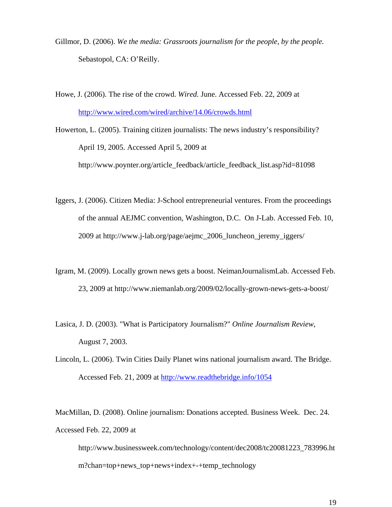- Gillmor, D. (2006). *We the media: Grassroots journalism for the people, by the people.* Sebastopol, CA: O'Reilly.
- Howe, J. (2006). The rise of the crowd. *Wired.* June. Accessed Feb. 22, 2009 at http://www.wired.com/wired/archive/14.06/crowds.html

Howerton, L. (2005). Training citizen journalists: The news industry's responsibility? April 19, 2005. Accessed April 5, 2009 at

http://www.poynter.org/article\_feedback/article\_feedback\_list.asp?id=81098

- Iggers, J. (2006). Citizen Media: J-School entrepreneurial ventures. From the proceedings of the annual AEJMC convention, Washington, D.C. On J-Lab. Accessed Feb. 10, 2009 at http://www.j-lab.org/page/aejmc\_2006\_luncheon\_jeremy\_iggers/
- Igram, M. (2009). Locally grown news gets a boost. NeimanJournalismLab. Accessed Feb. 23, 2009 at http://www.niemanlab.org/2009/02/locally-grown-news-gets-a-boost/
- Lasica, J. D. (2003). "What is Participatory Journalism?" *Online Journalism Review*, August 7, 2003.
- Lincoln, L. (2006). Twin Cities Daily Planet wins national journalism award. The Bridge. Accessed Feb. 21, 2009 at http://www.readthebridge.info/1054

MacMillan, D. (2008). Online journalism: Donations accepted. Business Week. Dec. 24. Accessed Feb. 22, 2009 at

http://www.businessweek.com/technology/content/dec2008/tc20081223\_783996.ht m?chan=top+news\_top+news+index+-+temp\_technology